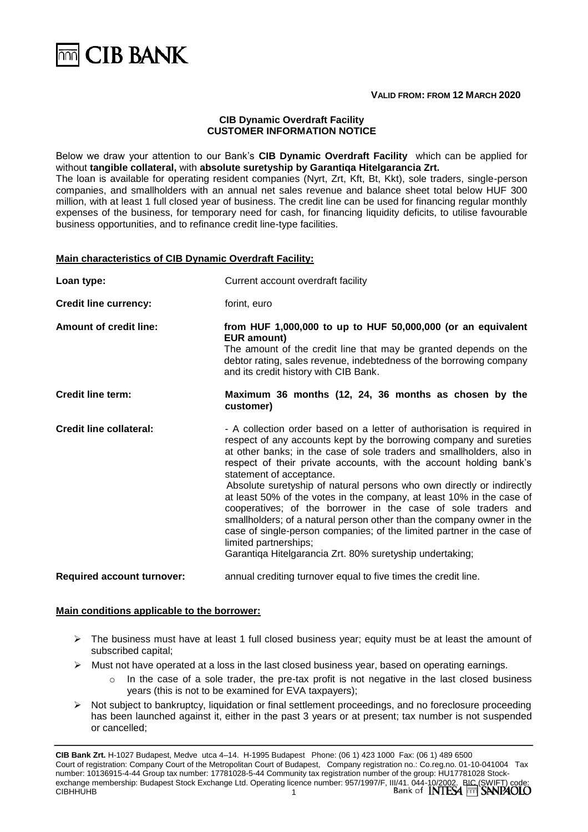

#### **VALID FROM: FROM 12 MARCH 2020**

#### **CIB Dynamic Overdraft Facility CUSTOMER INFORMATION NOTICE**

Below we draw your attention to our Bank's **CIB Dynamic Overdraft Facility** which can be applied for without **tangible collateral,** with **absolute suretyship by Garantiqa Hitelgarancia Zrt.** The loan is available for operating resident companies (Nyrt, Zrt, Kft, Bt, Kkt), sole traders, single-person companies, and smallholders with an annual net sales revenue and balance sheet total below HUF 300 million, with at least 1 full closed year of business. The credit line can be used for financing regular monthly expenses of the business, for temporary need for cash, for financing liquidity deficits, to utilise favourable business opportunities, and to refinance credit line-type facilities.

# **Main characteristics of CIB Dynamic Overdraft Facility:**

| Loan type:                        | Current account overdraft facility                                                                                                                                                                                                                                                                                                                                                                                                                                                                                                                                                                                                                                                                                                                                                 |
|-----------------------------------|------------------------------------------------------------------------------------------------------------------------------------------------------------------------------------------------------------------------------------------------------------------------------------------------------------------------------------------------------------------------------------------------------------------------------------------------------------------------------------------------------------------------------------------------------------------------------------------------------------------------------------------------------------------------------------------------------------------------------------------------------------------------------------|
| <b>Credit line currency:</b>      | forint, euro                                                                                                                                                                                                                                                                                                                                                                                                                                                                                                                                                                                                                                                                                                                                                                       |
| <b>Amount of credit line:</b>     | from HUF 1,000,000 to up to HUF $50,000,000$ (or an equivalent<br><b>EUR amount)</b><br>The amount of the credit line that may be granted depends on the<br>debtor rating, sales revenue, indebtedness of the borrowing company<br>and its credit history with CIB Bank.                                                                                                                                                                                                                                                                                                                                                                                                                                                                                                           |
| <b>Credit line term:</b>          | Maximum 36 months (12, 24, 36 months as chosen by the<br>customer)                                                                                                                                                                                                                                                                                                                                                                                                                                                                                                                                                                                                                                                                                                                 |
| <b>Credit line collateral:</b>    | - A collection order based on a letter of authorisation is required in<br>respect of any accounts kept by the borrowing company and sureties<br>at other banks; in the case of sole traders and smallholders, also in<br>respect of their private accounts, with the account holding bank's<br>statement of acceptance.<br>Absolute suretyship of natural persons who own directly or indirectly<br>at least 50% of the votes in the company, at least 10% in the case of<br>cooperatives; of the borrower in the case of sole traders and<br>smallholders; of a natural person other than the company owner in the<br>case of single-person companies; of the limited partner in the case of<br>limited partnerships;<br>Garantiga Hitelgarancia Zrt. 80% suretyship undertaking; |
| <b>Required account turnover:</b> | annual crediting turnover equal to five times the credit line.                                                                                                                                                                                                                                                                                                                                                                                                                                                                                                                                                                                                                                                                                                                     |

#### **Main conditions applicable to the borrower:**

- $\triangleright$  The business must have at least 1 full closed business year; equity must be at least the amount of subscribed capital;
- $\triangleright$  Must not have operated at a loss in the last closed business year, based on operating earnings.
	- In the case of a sole trader, the pre-tax profit is not negative in the last closed business years (this is not to be examined for EVA taxpayers);
- ➢ Not subject to bankruptcy, liquidation or final settlement proceedings, and no foreclosure proceeding has been launched against it, either in the past 3 years or at present; tax number is not suspended or cancelled;

<sup>1</sup> **CIB Bank Zrt.** H-1027 Budapest, Medve utca 4–14. H-1995 Budapest Phone: (06 1) 423 1000 Fax: (06 1) 489 6500 Court of registration: Company Court of the Metropolitan Court of Budapest, Company registration no.: Co.reg.no. 01-10-041004 Tax number: 10136915-4-44 Group tax number: 17781028 Tax number: 10136915-4-44 Group tax number: 17781028-5-44 Community tax registration number of the group: HU17781028 Stockexchange membership: Budapest Stock Exchange Ltd. Operating licence number: 957/1997/F, III/41. 044-10/2002. BIC (SWIFT) code: CIBHHUHB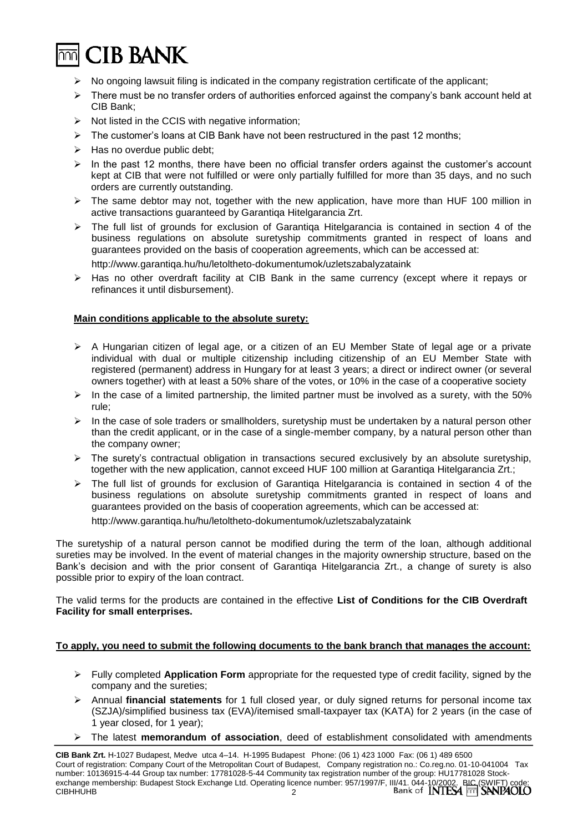

- $\triangleright$  No ongoing lawsuit filing is indicated in the company registration certificate of the applicant;
- ➢ There must be no transfer orders of authorities enforced against the company's bank account held at CIB Bank;
- ➢ Not listed in the CCIS with negative information;
- $\triangleright$  The customer's loans at CIB Bank have not been restructured in the past 12 months;
- $\triangleright$  Has no overdue public debt;
- $\triangleright$  In the past 12 months, there have been no official transfer orders against the customer's account kept at CIB that were not fulfilled or were only partially fulfilled for more than 35 days, and no such orders are currently outstanding.
- $\triangleright$  The same debtor may not, together with the new application, have more than HUF 100 million in active transactions guaranteed by Garantiqa Hitelgarancia Zrt.
- $\triangleright$  The full list of grounds for exclusion of Garantiga Hitelgarancia is contained in section 4 of the business regulations on absolute suretyship commitments granted in respect of loans and guarantees provided on the basis of cooperation agreements, which can be accessed at: http://www.garantiqa.hu/hu/letoltheto-dokumentumok/uzletszabalyzataink
- $\triangleright$  Has no other overdraft facility at CIB Bank in the same currency (except where it repays or refinances it until disbursement).

# **Main conditions applicable to the absolute surety:**

- ➢ A Hungarian citizen of legal age, or a citizen of an EU Member State of legal age or a private individual with dual or multiple citizenship including citizenship of an EU Member State with registered (permanent) address in Hungary for at least 3 years; a direct or indirect owner (or several owners together) with at least a 50% share of the votes, or 10% in the case of a cooperative society
- $\triangleright$  In the case of a limited partnership, the limited partner must be involved as a surety, with the 50% rule;
- $\triangleright$  In the case of sole traders or smallholders, suretyship must be undertaken by a natural person other than the credit applicant, or in the case of a single-member company, by a natural person other than the company owner;
- $\triangleright$  The surety's contractual obligation in transactions secured exclusively by an absolute suretyship, together with the new application, cannot exceed HUF 100 million at Garantiqa Hitelgarancia Zrt.;
- ➢ The full list of grounds for exclusion of Garantiqa Hitelgarancia is contained in section 4 of the business regulations on absolute suretyship commitments granted in respect of loans and guarantees provided on the basis of cooperation agreements, which can be accessed at:

http://www.garantiqa.hu/hu/letoltheto-dokumentumok/uzletszabalyzataink

The suretyship of a natural person cannot be modified during the term of the loan, although additional sureties may be involved. In the event of material changes in the majority ownership structure, based on the Bank's decision and with the prior consent of Garantiqa Hitelgarancia Zrt., a change of surety is also possible prior to expiry of the loan contract.

The valid terms for the products are contained in the effective **List of Conditions for the CIB Overdraft Facility for small enterprises.**

#### **To apply, you need to submit the following documents to the bank branch that manages the account:**

- ➢ Fully completed **Application Form** appropriate for the requested type of credit facility, signed by the company and the sureties;
- ➢ Annual **financial statements** for 1 full closed year, or duly signed returns for personal income tax (SZJA)/simplified business tax (EVA)/itemised small-taxpayer tax (KATA) for 2 years (in the case of 1 year closed, for 1 year);
- ➢ The latest **memorandum of association**, deed of establishment consolidated with amendments